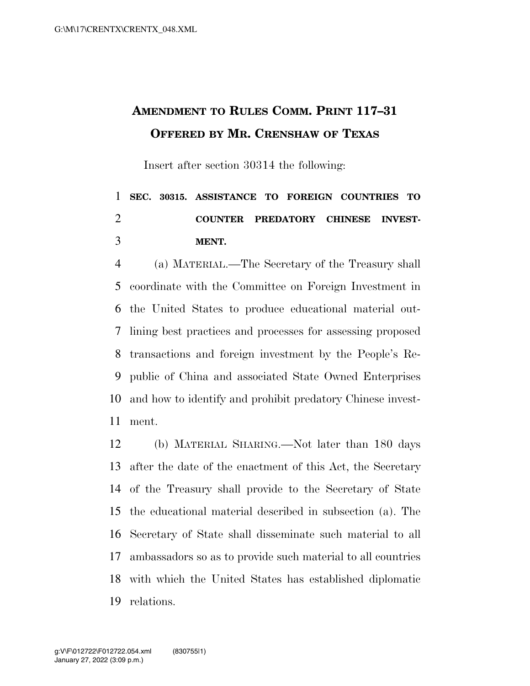## **AMENDMENT TO RULES COMM. PRINT 117–31 OFFERED BY MR. CRENSHAW OF TEXAS**

Insert after section 30314 the following:

## **SEC. 30315. ASSISTANCE TO FOREIGN COUNTRIES TO COUNTER PREDATORY CHINESE INVEST-MENT.**

 (a) MATERIAL.—The Secretary of the Treasury shall coordinate with the Committee on Foreign Investment in the United States to produce educational material out- lining best practices and processes for assessing proposed transactions and foreign investment by the People's Re- public of China and associated State Owned Enterprises and how to identify and prohibit predatory Chinese invest-ment.

 (b) MATERIAL SHARING.—Not later than 180 days after the date of the enactment of this Act, the Secretary of the Treasury shall provide to the Secretary of State the educational material described in subsection (a). The Secretary of State shall disseminate such material to all ambassadors so as to provide such material to all countries with which the United States has established diplomatic relations.